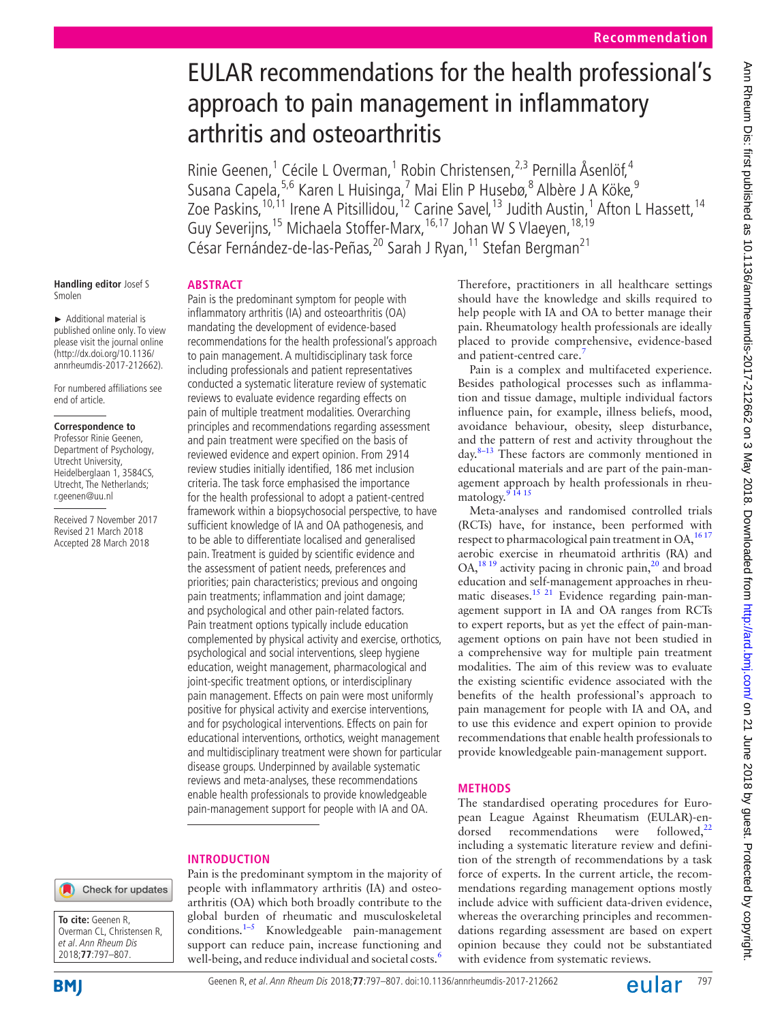# EULAR recommendations for the health professional's approach to pain management in inflammatory arthritis and osteoarthritis

Rinie Geenen,<sup>1</sup> Cécile L Overman,<sup>1</sup> Robin Christensen,<sup>2,3</sup> Pernilla Åsenlöf,<sup>4</sup> Susana Capela,<sup>5,6</sup> Karen L Huisinga,<sup>7</sup> Mai Elin P Husebø,<sup>8</sup> Albère J A Köke,<sup>9</sup> Zoe Paskins,<sup>10,11</sup> Irene A Pitsillidou,<sup>12</sup> Carine Savel,<sup>13</sup> Judith Austin,<sup>1</sup> Afton L Hassett,<sup>14</sup> Guy Severijns,<sup>15</sup> Michaela Stoffer-Marx,<sup>16,17</sup> Johan W S Vlaeyen,<sup>18,19</sup> César Fernández-de-las-Peñas,<sup>20</sup> Sarah J Ryan,<sup>11</sup> Stefan Bergman<sup>21</sup>

#### **Handling editor** Josef S Smolen

► Additional material is published online only. To view please visit the journal online (http://dx.doi.org/10.1136/ annrheumdis-2017-212662).

For numbered affiliations see end of article.

#### **Correspondence to**

Professor Rinie Geenen, Department of Psychology, Utrecht University, Heidelberglaan 1, 3584CS, Utrecht, The Netherlands; r.geenen@uu.nl

Received 7 November 2017 Revised 21 March 2018 Accepted 28 March 2018

# **Abstract**

Pain is the predominant symptom for people with inflammatory arthritis (IA) and osteoarthritis (OA) mandating the development of evidence-based recommendations for the health professional's approach to pain management. A multidisciplinary task force including professionals and patient representatives conducted a systematic literature review of systematic reviews to evaluate evidence regarding effects on pain of multiple treatment modalities. Overarching principles and recommendations regarding assessment and pain treatment were specified on the basis of reviewed evidence and expert opinion. From 2914 review studies initially identified, 186 met inclusion criteria. The task force emphasised the importance for the health professional to adopt a patient-centred framework within a biopsychosocial perspective, to have sufficient knowledge of IA and OA pathogenesis, and to be able to differentiate localised and generalised pain. Treatment is guided by scientific evidence and the assessment of patient needs, preferences and priorities; pain characteristics; previous and ongoing pain treatments; inflammation and joint damage; and psychological and other pain-related factors. Pain treatment options typically include education complemented by physical activity and exercise, orthotics, psychological and social interventions, sleep hygiene education, weight management, pharmacological and joint-specific treatment options, or interdisciplinary pain management. Effects on pain were most uniformly positive for physical activity and exercise interventions, and for psychological interventions. Effects on pain for educational interventions, orthotics, weight management and multidisciplinary treatment were shown for particular disease groups. Underpinned by available systematic reviews and meta-analyses, these recommendations enable health professionals to provide knowledgeable pain-management support for people with IA and OA.

# **Introduction**



**To cite:** Geenen R, Overman CL, Christensen R, et al. Ann Rheum Dis 2018;**77**:797–807.

**BMI** 

Pain is the predominant symptom in the majority of people with inflammatory arthritis (IA) and osteoarthritis (OA) which both broadly contribute to the global burden of rheumatic and musculoskeletal conditions. $1-5$  Knowledgeable pain-management support can reduce pain, increase functioning and well-being, and reduce individual and societal costs.<sup>[6](#page-8-1)</sup>

Therefore, practitioners in all healthcare settings should have the knowledge and skills required to help people with IA and OA to better manage their pain. Rheumatology health professionals are ideally placed to provide comprehensive, evidence-based and patient-centred care.<sup>[7](#page-9-0)</sup>

Pain is a complex and multifaceted experience. Besides pathological processes such as inflammation and tissue damage, multiple individual factors influence pain, for example, illness beliefs, mood, avoidance behaviour, obesity, sleep disturbance, and the pattern of rest and activity throughout the day.[8–13](#page-9-1) These factors are commonly mentioned in educational materials and are part of the pain-management approach by health professionals in rheumatology[.9 14 15](#page-9-2)

Meta-analyses and randomised controlled trials (RCTs) have, for instance, been performed with respect to pharmacological pain treatment in OA,<sup>1617</sup> aerobic exercise in rheumatoid arthritis (RA) and  $OA<sub>1</sub><sup>18 19</sup>$  activity pacing in chronic pain,<sup>[20](#page-9-5)</sup> and broad education and self-management approaches in rheumatic diseases. $15 \times 21$  Evidence regarding pain-management support in IA and OA ranges from RCTs to expert reports, but as yet the effect of pain-management options on pain have not been studied in a comprehensive way for multiple pain treatment modalities. The aim of this review was to evaluate the existing scientific evidence associated with the benefits of the health professional's approach to pain management for people with IA and OA, and to use this evidence and expert opinion to provide recommendations that enable health professionals to provide knowledgeable pain-management support.

# **Methods**

The standardised operating procedures for European League Against Rheumatism (EULAR)-en-<br>dorsed recommendations were followed,<sup>22</sup> dorsed recommendations were including a systematic literature review and definition of the strength of recommendations by a task force of experts. In the current article, the recommendations regarding management options mostly include advice with sufficient data-driven evidence, whereas the overarching principles and recommendations regarding assessment are based on expert opinion because they could not be substantiated with evidence from systematic reviews.

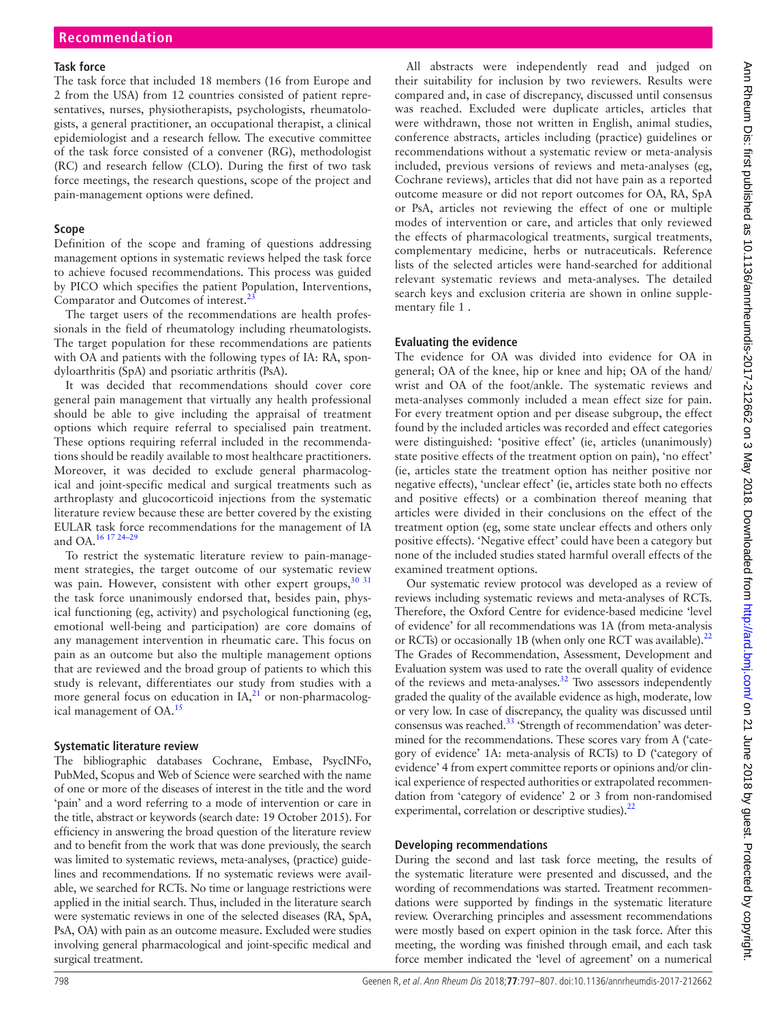#### **Task force**

The task force that included 18 members (16 from Europe and 2 from the USA) from 12 countries consisted of patient representatives, nurses, physiotherapists, psychologists, rheumatologists, a general practitioner, an occupational therapist, a clinical epidemiologist and a research fellow. The executive committee of the task force consisted of a convener (RG), methodologist (RC) and research fellow (CLO). During the first of two task force meetings, the research questions, scope of the project and pain-management options were defined.

#### **Scope**

Definition of the scope and framing of questions addressing management options in systematic reviews helped the task force to achieve focused recommendations. This process was guided by PICO which specifies the patient Population, Interventions, Comparator and Outcomes of interest.<sup>2</sup>

The target users of the recommendations are health professionals in the field of rheumatology including rheumatologists. The target population for these recommendations are patients with OA and patients with the following types of IA: RA, spondyloarthritis (SpA) and psoriatic arthritis (PsA).

It was decided that recommendations should cover core general pain management that virtually any health professional should be able to give including the appraisal of treatment options which require referral to specialised pain treatment. These options requiring referral included in the recommendations should be readily available to most healthcare practitioners. Moreover, it was decided to exclude general pharmacological and joint-specific medical and surgical treatments such as arthroplasty and glucocorticoid injections from the systematic literature review because these are better covered by the existing EULAR task force recommendations for the management of IA and OA[.16 17 24–29](#page-9-3)

To restrict the systematic literature review to pain-management strategies, the target outcome of our systematic review was pain. However, consistent with other expert groups, [30 31](#page-9-9) the task force unanimously endorsed that, besides pain, physical functioning (eg, activity) and psychological functioning (eg, emotional well-being and participation) are core domains of any management intervention in rheumatic care. This focus on pain as an outcome but also the multiple management options that are reviewed and the broad group of patients to which this study is relevant, differentiates our study from studies with a more general focus on education in  $IA<sub>21</sub><sup>21</sup>$  or non-pharmacological management of  $OA<sup>15</sup>$ 

## **Systematic literature review**

The bibliographic databases Cochrane, Embase, PsycINFo, PubMed, Scopus and Web of Science were searched with the name of one or more of the diseases of interest in the title and the word 'pain' and a word referring to a mode of intervention or care in the title, abstract or keywords (search date: 19 October 2015). For efficiency in answering the broad question of the literature review and to benefit from the work that was done previously, the search was limited to systematic reviews, meta-analyses, (practice) guidelines and recommendations. If no systematic reviews were available, we searched for RCTs. No time or language restrictions were applied in the initial search. Thus, included in the literature search were systematic reviews in one of the selected diseases (RA, SpA, PsA, OA) with pain as an outcome measure. Excluded were studies involving general pharmacological and joint-specific medical and surgical treatment.

All abstracts were independently read and judged on their suitability for inclusion by two reviewers. Results were compared and, in case of discrepancy, discussed until consensus was reached. Excluded were duplicate articles, articles that were withdrawn, those not written in English, animal studies, conference abstracts, articles including (practice) guidelines or recommendations without a systematic review or meta-analysis included, previous versions of reviews and meta-analyses (eg, Cochrane reviews), articles that did not have pain as a reported outcome measure or did not report outcomes for OA, RA, SpA or PsA, articles not reviewing the effect of one or multiple modes of intervention or care, and articles that only reviewed the effects of pharmacological treatments, surgical treatments, complementary medicine, herbs or nutraceuticals. Reference lists of the selected articles were hand-searched for additional relevant systematic reviews and meta-analyses. The detailed search keys and exclusion criteria are shown in online [supple](https://dx.doi.org/10.1136/annrheumdis-2017-212662)[mentary file 1](https://dx.doi.org/10.1136/annrheumdis-2017-212662) .

#### **Evaluating the evidence**

The evidence for OA was divided into evidence for OA in general; OA of the knee, hip or knee and hip; OA of the hand/ wrist and OA of the foot/ankle. The systematic reviews and meta-analyses commonly included a mean effect size for pain. For every treatment option and per disease subgroup, the effect found by the included articles was recorded and effect categories were distinguished: 'positive effect' (ie, articles (unanimously) state positive effects of the treatment option on pain), 'no effect' (ie, articles state the treatment option has neither positive nor negative effects), 'unclear effect' (ie, articles state both no effects and positive effects) or a combination thereof meaning that articles were divided in their conclusions on the effect of the treatment option (eg, some state unclear effects and others only positive effects). 'Negative effect' could have been a category but none of the included studies stated harmful overall effects of the examined treatment options.

Our systematic review protocol was developed as a review of reviews including systematic reviews and meta-analyses of RCTs. Therefore, the Oxford Centre for evidence-based medicine 'level of evidence' for all recommendations was 1A (from meta-analysis or RCTs) or occasionally 1B (when only one RCT was available).<sup>[22](#page-9-7)</sup> The Grades of Recommendation, Assessment, Development and Evaluation system was used to rate the overall quality of evidence of the reviews and meta-analyses.<sup>32</sup> Two assessors independently graded the quality of the available evidence as high, moderate, low or very low. In case of discrepancy, the quality was discussed until consensus was reached.<sup>33</sup> 'Strength of recommendation' was determined for the recommendations. These scores vary from A ('category of evidence' 1A: meta-analysis of RCTs) to D ('category of evidence' 4 from expert committee reports or opinions and/or clinical experience of respected authorities or extrapolated recommendation from 'category of evidence' 2 or 3 from non-randomised experimental, correlation or descriptive studies).<sup>22</sup>

## **Developing recommendations**

During the second and last task force meeting, the results of the systematic literature were presented and discussed, and the wording of recommendations was started. Treatment recommendations were supported by findings in the systematic literature review. Overarching principles and assessment recommendations were mostly based on expert opinion in the task force. After this meeting, the wording was finished through email, and each task force member indicated the 'level of agreement' on a numerical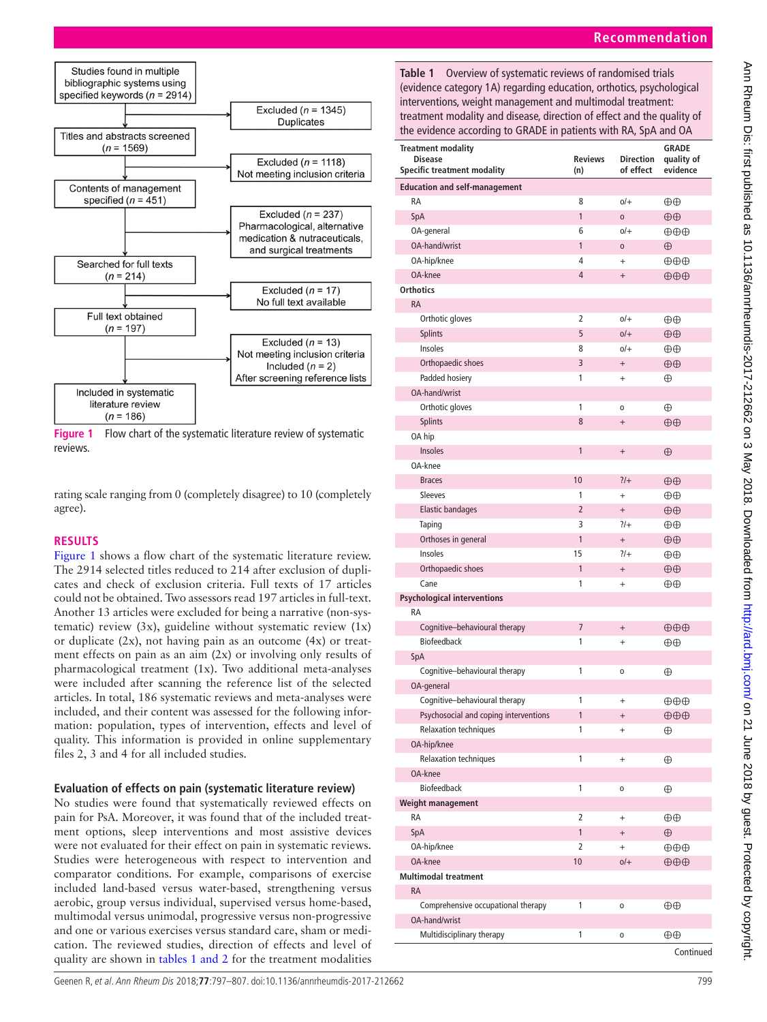

<span id="page-2-0"></span>**Figure 1** Flow chart of the systematic literature review of systematic reviews.

rating scale ranging from 0 (completely disagree) to 10 (completely agree).

## **Results**

[Figure](#page-2-0) 1 shows a flow chart of the systematic literature review. The 2914 selected titles reduced to 214 after exclusion of duplicates and check of exclusion criteria. Full texts of 17 articles could not be obtained. Two assessors read 197 articles in full-text. Another 13 articles were excluded for being a narrative (non-systematic) review  $(3x)$ , guideline without systematic review  $(1x)$ or duplicate  $(2x)$ , not having pain as an outcome  $(4x)$  or treatment effects on pain as an aim (2x) or involving only results of pharmacological treatment (1x). Two additional meta-analyses were included after scanning the reference list of the selected articles. In total, 186 systematic reviews and meta-analyses were included, and their content was assessed for the following information: population, types of intervention, effects and level of quality. This information is provided in online [supplementary](https://dx.doi.org/10.1136/annrheumdis-2017-212662)  [files 2, 3 and 4](https://dx.doi.org/10.1136/annrheumdis-2017-212662) for all included studies.

## **Evaluation of effects on pain (systematic literature review)**

No studies were found that systematically reviewed effects on pain for PsA. Moreover, it was found that of the included treatment options, sleep interventions and most assistive devices were not evaluated for their effect on pain in systematic reviews. Studies were heterogeneous with respect to intervention and comparator conditions. For example, comparisons of exercise included land-based versus water-based, strengthening versus aerobic, group versus individual, supervised versus home-based, multimodal versus unimodal, progressive versus non-progressive and one or various exercises versus standard care, sham or medication. The reviewed studies, direction of effects and level of quality are shown in tables [1 and 2](#page-2-1) for the treatment modalities

<span id="page-2-1"></span>**Table 1** Overview of systematic reviews of randomised trials (evidence category 1A) regarding education, orthotics, psychological interventions, weight management and multimodal treatment: treatment modality and disease, direction of effect and the quality of the evidence according to GRADE in patients with RA, SpA and OA

| <b>Treatment modality</b><br><b>Disease</b><br><b>Specific treatment modality</b> | <b>Reviews</b><br>(n) | <b>Direction</b><br>of effect | <b>GRADE</b><br>quality of<br>evidence |
|-----------------------------------------------------------------------------------|-----------------------|-------------------------------|----------------------------------------|
| <b>Education and self-management</b>                                              |                       |                               |                                        |
| <b>RA</b>                                                                         | 8                     | $0/+$                         | ⊕⊕                                     |
| SpA                                                                               | 1                     | $\mathbf 0$                   | $\oplus\oplus$                         |
| OA-general                                                                        | 6                     | $O/$ +                        | ⊕⊕⊕                                    |
| OA-hand/wrist                                                                     | $\mathbf{1}$          | $\mathbf{O}$                  | $\oplus$                               |
| OA-hip/knee                                                                       | 4                     | $^{+}$                        | ⊕⊕⊕                                    |
| OA-knee                                                                           | 4                     | $^{+}$                        | $\oplus \oplus \oplus$                 |
| <b>Orthotics</b>                                                                  |                       |                               |                                        |
| <b>RA</b>                                                                         |                       |                               |                                        |
| Orthotic gloves                                                                   | 2                     | $0/+$                         | $\oplus\oplus$                         |
| <b>Splints</b>                                                                    | 5                     | $0/+$                         | $\oplus\oplus$                         |
| Insoles                                                                           | 8                     | $0/+$                         | ⊕⊕                                     |
| Orthopaedic shoes                                                                 | 3                     | $+$                           | $\oplus\oplus$                         |
| Padded hosiery                                                                    | 1                     | $^{+}$                        | $_{\oplus}$                            |
| <b>OA-hand/wrist</b>                                                              |                       |                               |                                        |
| Orthotic gloves                                                                   | 1                     | 0                             | $\oplus$                               |
| <b>Splints</b>                                                                    | 8                     | $^{+}$                        | $\oplus\oplus$                         |
| OA hip                                                                            |                       |                               |                                        |
| Insoles                                                                           | 1                     | $^{+}$                        | $\oplus$                               |
| OA-knee                                                                           |                       |                               |                                        |
| <b>Braces</b>                                                                     | 10                    | $?1+$                         | $\oplus$                               |
| Sleeves                                                                           | 1                     | $^{+}$                        | ⊕⊕                                     |
| <b>Elastic bandages</b>                                                           | 2                     | $^{+}$                        | $\oplus\oplus$                         |
| Taping                                                                            | 3                     | $?1+$                         | $\oplus\oplus$                         |
| Orthoses in general                                                               | $\mathbf{1}$          | $^{+}$                        | $\oplus\oplus$                         |
| Insoles                                                                           | 15                    | $?1+$                         | $\oplus\oplus$                         |
|                                                                                   | 1                     | $+$                           |                                        |
| Orthopaedic shoes<br>Cane                                                         | 1                     | $^{+}$                        | $\oplus\oplus$                         |
|                                                                                   |                       |                               | $\oplus$                               |
| <b>Psychological interventions</b>                                                |                       |                               |                                        |
| RA                                                                                | $\overline{7}$        |                               |                                        |
| Cognitive-behavioural therapy                                                     |                       | $^{+}$                        | ⊕⊕⊕                                    |
| <b>Biofeedback</b>                                                                | 1                     | $\ddot{}$                     | ⊕⊕                                     |
| SpA                                                                               |                       |                               |                                        |
| Cognitive-behavioural therapy                                                     | 1                     | 0                             | $\oplus$                               |
| OA-general                                                                        |                       |                               |                                        |
| Cognitive-behavioural therapy                                                     | 1                     | $^{+}$                        | ⊕⊕⊕                                    |
| Psychosocial and coping interventions                                             | 1                     | $\ddot{}$                     | $\oplus\oplus\oplus$                   |
| Relaxation techniques                                                             | 1                     | $^{+}$                        | ⊕                                      |
| OA-hip/knee                                                                       |                       |                               |                                        |
| Relaxation techniques                                                             | 1                     | $\ddot{}$                     | $\oplus$                               |
| OA-knee                                                                           |                       |                               |                                        |
| <b>Biofeedback</b>                                                                | 1                     | 0                             | $_{\oplus}$                            |
| Weight management                                                                 |                       |                               |                                        |
| RA                                                                                | 2                     | $\ddot{}$                     | ⊕⊕                                     |
| SpA                                                                               | 1                     | $^{+}$                        | $\oplus$                               |
| OA-hip/knee                                                                       | 2                     | $+$                           | ⊕⊕⊕                                    |
| OA-knee                                                                           | 10                    | $0/+$                         | $\oplus \oplus \oplus$                 |
| <b>Multimodal treatment</b>                                                       |                       |                               |                                        |
| <b>RA</b>                                                                         |                       |                               |                                        |
| Comprehensive occupational therapy                                                | 1                     | 0                             | $\oplus\oplus$                         |
| <b>OA-hand/wrist</b>                                                              |                       |                               |                                        |
| Multidisciplinary therapy                                                         | 1                     | 0                             | $\oplus\oplus$                         |
|                                                                                   |                       |                               | Continued                              |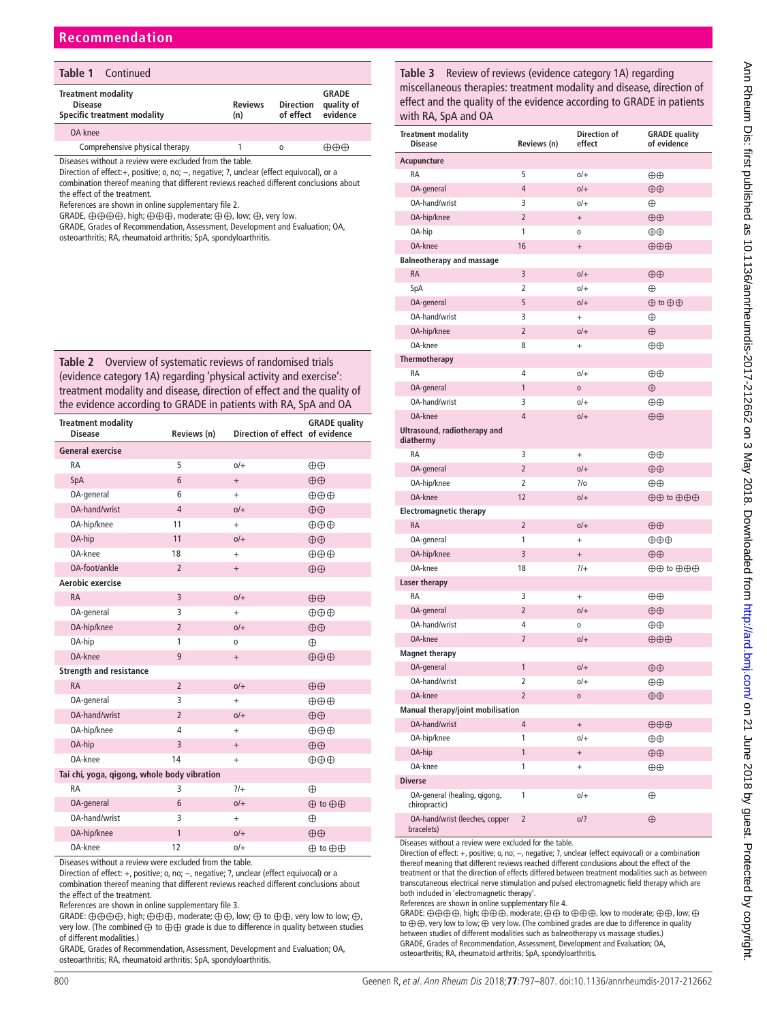| <b>Table 1</b> Continued                                            |                       |                               |                                        |
|---------------------------------------------------------------------|-----------------------|-------------------------------|----------------------------------------|
| <b>Treatment modality</b><br>Disease<br>Specific treatment modality | <b>Reviews</b><br>(n) | <b>Direction</b><br>of effect | <b>GRADE</b><br>quality of<br>evidence |
| OA knee                                                             |                       |                               |                                        |
| Comprehensive physical therapy                                      |                       | $\Omega$                      | $\oplus \oplus \oplus$                 |
| Diseases without a review were excluded from the table.             |                       |                               |                                        |

Direction of effect:+, positive; o, no; -, negative; ?, unclear (effect equivocal), or a combination thereof meaning that different reviews reached different conclusions about the effect of the treatment.

References are shown in online [supplementary file 2](https://dx.doi.org/10.1136/annrheumdis-2017-212662).

GRADE, ⊕⊕⊕⊕, high; ⊕⊕⊕, moderate; ⊕⊕, low; ⊕, very low.

GRADE, Grades of Recommendation, Assessment, Development and Evaluation; OA,

osteoarthritis; RA, rheumatoid arthritis; SpA, spondyloarthritis.

<span id="page-3-1"></span>**Table 2** Overview of systematic reviews of randomised trials (evidence category 1A) regarding 'physical activity and exercise': treatment modality and disease, direction of effect and the quality of the evidence according to GRADE in patients with RA, SpA and OA

| <b>Treatment modality</b><br><b>Disease</b> | Reviews (n)    | Direction of effect of evidence | <b>GRADE quality</b>          |
|---------------------------------------------|----------------|---------------------------------|-------------------------------|
| <b>General exercise</b>                     |                |                                 |                               |
| RA                                          | 5              | 0/                              | $\oplus$                      |
| SpA                                         | 6              | $+$                             | $\oplus$                      |
| OA-general                                  | 6              | $\ddot{}$                       | $\oplus \oplus \oplus$        |
| <b>OA-hand/wrist</b>                        | $\overline{4}$ | 0/                              | $\oplus$                      |
| OA-hip/knee                                 | 11             | $+$                             | $\oplus \oplus \oplus$        |
| OA-hip                                      | 11             | 0/                              | $\oplus$                      |
| OA-knee                                     | 18             | $^{+}$                          | $\oplus \oplus \oplus$        |
| OA-foot/ankle                               | $\overline{2}$ | $+$                             | $\oplus$                      |
| Aerobic exercise                            |                |                                 |                               |
| <b>RA</b>                                   | $\overline{3}$ | O/                              | $\oplus$                      |
| OA-general                                  | 3              | $\ddot{}$                       | $\oplus \oplus \oplus$        |
| OA-hip/knee                                 | $\overline{2}$ | $0/+$                           | $\oplus$                      |
| OA-hip                                      | 1              | 0                               | $\oplus$                      |
| OA-knee                                     | 9              | $+$                             | $\oplus \oplus \oplus$        |
| <b>Strength and resistance</b>              |                |                                 |                               |
| <b>RA</b>                                   | $\overline{2}$ | O/                              | $\oplus$                      |
| OA-general                                  | 3              | $\ddot{}$                       | $\oplus \oplus \oplus$        |
| <b>OA-hand/wrist</b>                        | $\overline{2}$ | 0/                              | $\oplus$                      |
| OA-hip/knee                                 | 4              | $^{+}$                          | $\oplus \oplus \oplus$        |
| OA-hip                                      | 3              | $+$                             | $\oplus$                      |
| OA-knee                                     | 14             | $^{+}$                          | $\oplus \oplus \oplus$        |
| Tai chi, yoga, qigong, whole body vibration |                |                                 |                               |
| RA                                          | 3              | $^{7/+}$                        | $\oplus$                      |
| OA-general                                  | 6              | 0/                              | $\oplus$ to $\oplus$ $\oplus$ |
| OA-hand/wrist                               | 3              | $^{+}$                          | $\oplus$                      |
| OA-hip/knee                                 | 1              | 0/                              | $\oplus$                      |
| OA-knee                                     | 12             | $0/+$                           | $\oplus$ to $\oplus$ $\oplus$ |

Diseases without a review were excluded from the table.

Direction of effect: +, positive; o, no; -, negative; ?, unclear (effect equivocal) or a combination thereof meaning that different reviews reached different conclusions about the effect of the treatment.

References are shown in online [supplementary file 3](https://dx.doi.org/10.1136/annrheumdis-2017-212662).

GRADE: ⊕⊕⊕⊕, high; ⊕⊕⊕, moderate; ⊕⊕, low; ⊕ to ⊕⊕, very low to low; ⊕, very low. (The combined ⊕ to ⊕⊕ grade is due to difference in quality between studies of different modalities.)

GRADE, Grades of Recommendation, Assessment, Development and Evaluation; OA, osteoarthritis; RA, rheumatoid arthritis; SpA, spondyloarthritis.

<span id="page-3-0"></span>**Table 3** Review of reviews (evidence category 1A) regarding miscellaneous therapies: treatment modality and disease, direction of effect and the quality of the evidence according to GRADE in patients with RA, SpA and OA

| <b>Treatment modality</b><br><b>Disease</b>   | Reviews (n)    | <b>Direction of</b><br>effect | <b>GRADE quality</b><br>of evidence    |
|-----------------------------------------------|----------------|-------------------------------|----------------------------------------|
| Acupuncture                                   |                |                               |                                        |
| <b>RA</b>                                     | 5              | $0/+$                         | $\oplus\oplus$                         |
| OA-general                                    | $\overline{4}$ | $0/+$                         | $\oplus$                               |
| OA-hand/wrist                                 | 3              | $0/+$                         | $\oplus$                               |
| OA-hip/knee                                   | $\overline{2}$ | $\ddot{}$                     | $\oplus$                               |
| OA-hip                                        | 1              | $\circ$                       | $\oplus\oplus$                         |
| OA-knee                                       | 16             | $\ddot{}$                     | $\oplus \oplus \oplus$                 |
| <b>Balneotherapy and massage</b>              |                |                               |                                        |
| <b>RA</b>                                     | 3              | $0/+$                         | $\oplus$                               |
| SpA                                           | $\overline{2}$ | $0/+$                         | $\oplus$                               |
| OA-general                                    | 5              | $0/+$                         | $\oplus$ to $\oplus$ $\oplus$          |
| OA-hand/wrist                                 | 3              | $^{+}$                        | $_{\oplus}$                            |
| OA-hip/knee                                   | $\overline{2}$ | $0/+$                         | $\oplus$                               |
| OA-knee                                       | 8              | $\ddot{}$                     | $\oplus$                               |
| Thermotherapy                                 |                |                               |                                        |
| <b>RA</b>                                     | 4              | $0/+$                         | $\oplus\oplus$                         |
| OA-general                                    | 1              | $\circ$                       | $\oplus$                               |
| OA-hand/wrist                                 | 3              | $0/+$                         | ⊕⊕                                     |
| OA-knee                                       | $\overline{4}$ | $0/+$                         | $\oplus$                               |
| Ultrasound, radiotherapy and<br>diathermy     |                |                               |                                        |
| RA                                            | 3              | $\qquad \qquad +$             | $\oplus\oplus$                         |
| OA-general                                    | $\overline{2}$ | $0/+$                         | $\oplus$                               |
| OA-hip/knee                                   | $\overline{2}$ | $?$ /0                        | ⊕⊕                                     |
| OA-knee                                       | 12             | $0/+$                         | $\oplus\oplus$ to $\oplus\oplus\oplus$ |
| <b>Electromagnetic therapy</b>                |                |                               |                                        |
| <b>RA</b>                                     | $\overline{2}$ | $0/+$                         | ⊕⊕                                     |
| OA-general                                    | 1              | $\ddot{}$                     | $\oplus \oplus \oplus$                 |
| OA-hip/knee                                   | 3              | $\ddot{}$                     | $\oplus$                               |
| OA-knee                                       | 18             | $?1 +$                        | $\oplus\oplus$ to $\oplus\oplus\oplus$ |
| Laser therapy                                 |                |                               |                                        |
| <b>RA</b>                                     | 3              | $\qquad \qquad +$             | ⊕⊕                                     |
| OA-general                                    | $\overline{2}$ | $0/+$                         | $\oplus\oplus$                         |
| <b>OA-hand/wrist</b>                          | 4              | $\mathbf{o}$                  | $\oplus\oplus$                         |
| OA-knee                                       | $\overline{7}$ | $0/+$                         | $\oplus \oplus \oplus$                 |
| <b>Magnet therapy</b>                         |                |                               |                                        |
| OA-general                                    | $\mathbf{1}$   | $0/+$                         | $\oplus$                               |
| OA-hand/wrist                                 | $\overline{2}$ | $0/+$                         | $\oplus\oplus$                         |
| OA-knee                                       | $\overline{2}$ | $\mathbf 0$                   | $\oplus$                               |
| Manual therapy/joint mobilisation             |                |                               |                                        |
| <b>OA-hand/wrist</b>                          | 4              | $+$                           | $\oplus \oplus \oplus$                 |
| OA-hip/knee                                   | 1              | $0/+$                         | ⊕⊕                                     |
| OA-hip                                        | $\mathbf{1}$   | $+$                           | $\oplus\oplus$                         |
| OA-knee                                       | 1              | $^{+}$                        | $\oplus$                               |
| <b>Diverse</b>                                |                |                               |                                        |
| OA-general (healing, gigong,<br>chiropractic) | 1              | $0/+$                         | $_{\oplus}$                            |
| OA-hand/wrist (leeches, copper<br>hracelets)  | $\overline{2}$ | O/?                           | $\oplus$                               |

Diseases without a review were excluded for the table.

Direction of effect: +, positive; o, no; -, negative; ?, unclear (effect equivocal) or a combination thereof meaning that different reviews reached different conclusions about the effect of the treatment or that the direction of effects differed between treatment modalities such as between transcutaneous electrical nerve stimulation and pulsed electromagnetic field therapy which are both included in 'electromagnetic therapy'.

References are shown in online [supplementary file 4](https://dx.doi.org/10.1136/annrheumdis-2017-212662).

GRADE: ⊕⊕⊕⊕, high; ⊕⊕⊕, moderate; ⊕⊕ to ⊕⊕⊕, low to moderate; ⊕⊕, low; ⊕ to ⊕⊕, very low to low; ⊕ very low. (The combined grades are due to difference in quality between studies of different modalities such as balneotherapy vs massage studies.) GRADE, Grades of Recommendation, Assessment, Development and Evaluation; OA, osteoarthritis; RA, rheumatoid arthritis; SpA, spondyloarthritis.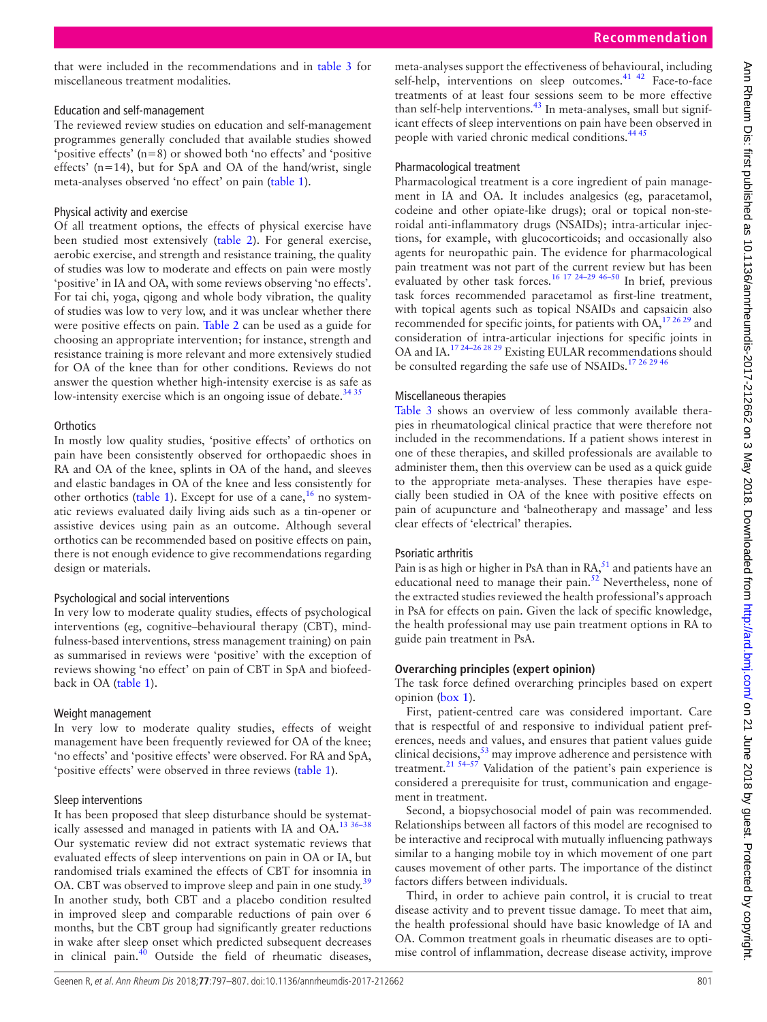that were included in the recommendations and in [table](#page-3-0) 3 for miscellaneous treatment modalities.

#### Education and self-management

The reviewed review studies on education and self-management programmes generally concluded that available studies showed 'positive effects' (n=8) or showed both 'no effects' and 'positive effects' (n=14), but for SpA and OA of the hand/wrist, single meta-analyses observed 'no effect' on pain [\(table](#page-2-1) 1).

#### Physical activity and exercise

Of all treatment options, the effects of physical exercise have been studied most extensively ([table](#page-3-1) 2). For general exercise, aerobic exercise, and strength and resistance training, the quality of studies was low to moderate and effects on pain were mostly 'positive' in IA and OA, with some reviews observing 'no effects'. For tai chi, yoga, qigong and whole body vibration, the quality of studies was low to very low, and it was unclear whether there were positive effects on pain. [Table](#page-3-1) 2 can be used as a guide for choosing an appropriate intervention; for instance, strength and resistance training is more relevant and more extensively studied for OA of the knee than for other conditions. Reviews do not answer the question whether high-intensity exercise is as safe as low-intensity exercise which is an ongoing issue of debate. $343$ 

## **Orthotics**

In mostly low quality studies, 'positive effects' of orthotics on pain have been consistently observed for orthopaedic shoes in RA and OA of the knee, splints in OA of the hand, and sleeves and elastic bandages in OA of the knee and less consistently for other orthotics ([table](#page-2-1) 1). Except for use of a cane,  $16$  no systematic reviews evaluated daily living aids such as a tin-opener or assistive devices using pain as an outcome. Although several orthotics can be recommended based on positive effects on pain, there is not enough evidence to give recommendations regarding design or materials.

## Psychological and social interventions

In very low to moderate quality studies, effects of psychological interventions (eg, cognitive–behavioural therapy (CBT), mindfulness-based interventions, stress management training) on pain as summarised in reviews were 'positive' with the exception of reviews showing 'no effect' on pain of CBT in SpA and biofeedback in OA ([table](#page-2-1) 1).

## Weight management

In very low to moderate quality studies, effects of weight management have been frequently reviewed for OA of the knee; 'no effects' and 'positive effects' were observed. For RA and SpA, 'positive effects' were observed in three reviews [\(table](#page-2-1) 1).

## Sleep interventions

It has been proposed that sleep disturbance should be systematically assessed and managed in patients with IA and OA.<sup>13 36-38</sup> Our systematic review did not extract systematic reviews that evaluated effects of sleep interventions on pain in OA or IA, but randomised trials examined the effects of CBT for insomnia in OA. CBT was observed to improve sleep and pain in one study.<sup>[39](#page-9-15)</sup> In another study, both CBT and a placebo condition resulted in improved sleep and comparable reductions of pain over 6 months, but the CBT group had significantly greater reductions in wake after sleep onset which predicted subsequent decreases in clinical pain.[40](#page-9-16) Outside the field of rheumatic diseases,

meta-analyses support the effectiveness of behavioural, including self-help, interventions on sleep outcomes.<sup>[41 42](#page-9-17)</sup> Face-to-face treatments of at least four sessions seem to be more effective than self-help interventions.<sup>[43](#page-9-18)</sup> In meta-analyses, small but significant effects of sleep interventions on pain have been observed in people with varied chronic medical conditions.<sup>[44 45](#page-9-19)</sup>

## Pharmacological treatment

Pharmacological treatment is a core ingredient of pain management in IA and OA. It includes analgesics (eg, paracetamol, codeine and other opiate-like drugs); oral or topical non-steroidal anti-inflammatory drugs (NSAIDs); intra-articular injections, for example, with glucocorticoids; and occasionally also agents for neuropathic pain. The evidence for pharmacological pain treatment was not part of the current review but has been evaluated by other task forces.<sup>16 17 24-29 46-50</sup> In brief, previous task forces recommended paracetamol as first-line treatment, with topical agents such as topical NSAIDs and capsaicin also recommended for specific joints, for patients with  $OA<sub>1</sub><sup>17,26,29</sup>$  and consideration of intra-articular injections for specific joints in OA and IA.[17 24–26 28 29](#page-9-20) Existing EULAR recommendations should be consulted regarding the safe use of NSAIDs.<sup>17 26 29 4</sup>

## Miscellaneous therapies

[Table](#page-3-0) 3 shows an overview of less commonly available therapies in rheumatological clinical practice that were therefore not included in the recommendations. If a patient shows interest in one of these therapies, and skilled professionals are available to administer them, then this overview can be used as a quick guide to the appropriate meta-analyses. These therapies have especially been studied in OA of the knee with positive effects on pain of acupuncture and 'balneotherapy and massage' and less clear effects of 'electrical' therapies.

## Psoriatic arthritis

Pain is as high or higher in PsA than in  $\mathbb{R}A$ ,  $\frac{51}{1}$  and patients have an educational need to manage their pain.<sup>52</sup> Nevertheless, none of the extracted studies reviewed the health professional's approach in PsA for effects on pain. Given the lack of specific knowledge, the health professional may use pain treatment options in RA to guide pain treatment in PsA.

# **Overarching principles (expert opinion)**

The task force defined overarching principles based on expert opinion [\(box](#page-5-0) 1).

First, patient-centred care was considered important. Care that is respectful of and responsive to individual patient preferences, needs and values, and ensures that patient values guide clinical decisions,<sup>53</sup> may improve adherence and persistence with treatment.<sup>21 54–57</sup> Validation of the patient's pain experience is considered a prerequisite for trust, communication and engagement in treatment.

Second, a biopsychosocial model of pain was recommended. Relationships between all factors of this model are recognised to be interactive and reciprocal with mutually influencing pathways similar to a hanging mobile toy in which movement of one part causes movement of other parts. The importance of the distinct factors differs between individuals.

Third, in order to achieve pain control, it is crucial to treat disease activity and to prevent tissue damage. To meet that aim, the health professional should have basic knowledge of IA and OA. Common treatment goals in rheumatic diseases are to optimise control of inflammation, decrease disease activity, improve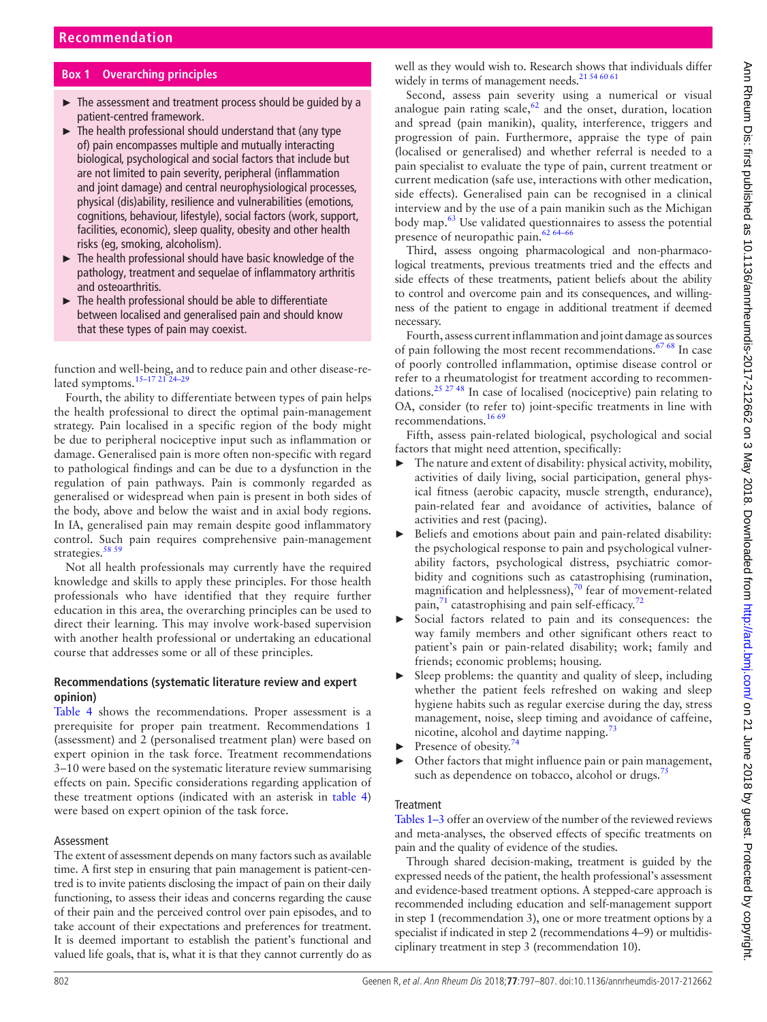#### **Box 1 Overarching principles**

- <span id="page-5-0"></span>► The assessment and treatment process should be guided by a patient-centred framework.
- $\blacktriangleright$  The health professional should understand that (any type of) pain encompasses multiple and mutually interacting biological, psychological and social factors that include but are not limited to pain severity, peripheral (inflammation and joint damage) and central neurophysiological processes, physical (dis)ability, resilience and vulnerabilities (emotions, cognitions, behaviour, lifestyle), social factors (work, support, facilities, economic), sleep quality, obesity and other health risks (eg, smoking, alcoholism).
- $\blacktriangleright$  The health professional should have basic knowledge of the pathology, treatment and sequelae of inflammatory arthritis and osteoarthritis.
- $\blacktriangleright$  The health professional should be able to differentiate between localised and generalised pain and should know that these types of pain may coexist.

function and well-being, and to reduce pain and other disease-related symptoms.<sup>15-17 21 24-29</sup>

Fourth, the ability to differentiate between types of pain helps the health professional to direct the optimal pain-management strategy. Pain localised in a specific region of the body might be due to peripheral nociceptive input such as inflammation or damage. Generalised pain is more often non-specific with regard to pathological findings and can be due to a dysfunction in the regulation of pain pathways. Pain is commonly regarded as generalised or widespread when pain is present in both sides of the body, above and below the waist and in axial body regions. In IA, generalised pain may remain despite good inflammatory control. Such pain requires comprehensive pain-management strategies.<sup>58</sup> 59

Not all health professionals may currently have the required knowledge and skills to apply these principles. For those health professionals who have identified that they require further education in this area, the overarching principles can be used to direct their learning. This may involve work-based supervision with another health professional or undertaking an educational course that addresses some or all of these principles.

#### **Recommendations (systematic literature review and expert opinion)**

[Table](#page-6-0) 4 shows the recommendations. Proper assessment is a prerequisite for proper pain treatment. Recommendations 1 (assessment) and 2 (personalised treatment plan) were based on expert opinion in the task force. Treatment recommendations 3–10 were based on the systematic literature review summarising effects on pain. Specific considerations regarding application of these treatment options (indicated with an asterisk in [table](#page-6-0) 4) were based on expert opinion of the task force.

#### Assessment

The extent of assessment depends on many factors such as available time. A first step in ensuring that pain management is patient-centred is to invite patients disclosing the impact of pain on their daily functioning, to assess their ideas and concerns regarding the cause of their pain and the perceived control over pain episodes, and to take account of their expectations and preferences for treatment. It is deemed important to establish the patient's functional and valued life goals, that is, what it is that they cannot currently do as

well as they would wish to. Research shows that individuals differ widely in terms of management needs.<sup>[21 54 60 61](#page-9-10)</sup>

Second, assess pain severity using a numerical or visual analogue pain rating scale, $62$  and the onset, duration, location and spread (pain manikin), quality, interference, triggers and progression of pain. Furthermore, appraise the type of pain (localised or generalised) and whether referral is needed to a pain specialist to evaluate the type of pain, current treatment or current medication (safe use, interactions with other medication, side effects). Generalised pain can be recognised in a clinical interview and by the use of a pain manikin such as the Michigan body map.[63](#page-9-26) Use validated questionnaires to assess the potential presence of neuropathic pain.<sup>62 64-66</sup>

Third, assess ongoing pharmacological and non-pharmacological treatments, previous treatments tried and the effects and side effects of these treatments, patient beliefs about the ability to control and overcome pain and its consequences, and willingness of the patient to engage in additional treatment if deemed necessary.

Fourth, assess current inflammation and joint damage as sources of pain following the most recent recommendations.<sup>[67 68](#page-10-0)</sup> In case of poorly controlled inflammation, optimise disease control or refer to a rheumatologist for treatment according to recommendations.<sup>25 27 48</sup> In case of localised (nociceptive) pain relating to OA, consider (to refer to) joint-specific treatments in line with recommendations.[16 69](#page-9-3)

Fifth, assess pain-related biological, psychological and social factors that might need attention, specifically:

- The nature and extent of disability: physical activity, mobility, activities of daily living, social participation, general physical fitness (aerobic capacity, muscle strength, endurance), pain-related fear and avoidance of activities, balance of activities and rest (pacing).
- Beliefs and emotions about pain and pain-related disability: the psychological response to pain and psychological vulnerability factors, psychological distress, psychiatric comorbidity and cognitions such as catastrophising (rumination, magnification and helplessness), $\frac{70}{10}$  $\frac{70}{10}$  $\frac{70}{10}$  fear of movement-related pain, $71$  catastrophising and pain self-efficacy.<sup>[72](#page-10-3)</sup>
- Social factors related to pain and its consequences: the way family members and other significant others react to patient's pain or pain-related disability; work; family and friends; economic problems; housing.
- Sleep problems: the quantity and quality of sleep, including whether the patient feels refreshed on waking and sleep hygiene habits such as regular exercise during the day, stress management, noise, sleep timing and avoidance of caffeine, nicotine, alcohol and daytime napping.<sup>[73](#page-10-4)</sup>
- Presence of obesity.<sup>[74](#page-10-5)</sup>
- Other factors that might influence pain or pain management, such as dependence on tobacco, alcohol or drugs.<sup>75</sup>

#### Treatment

[Tables](#page-2-1) 1–3 offer an overview of the number of the reviewed reviews and meta-analyses, the observed effects of specific treatments on pain and the quality of evidence of the studies.

Through shared decision-making, treatment is guided by the expressed needs of the patient, the health professional's assessment and evidence-based treatment options. A stepped-care approach is recommended including education and self-management support in step 1 (recommendation 3), one or more treatment options by a specialist if indicated in step 2 (recommendations 4–9) or multidisciplinary treatment in step 3 (recommendation 10).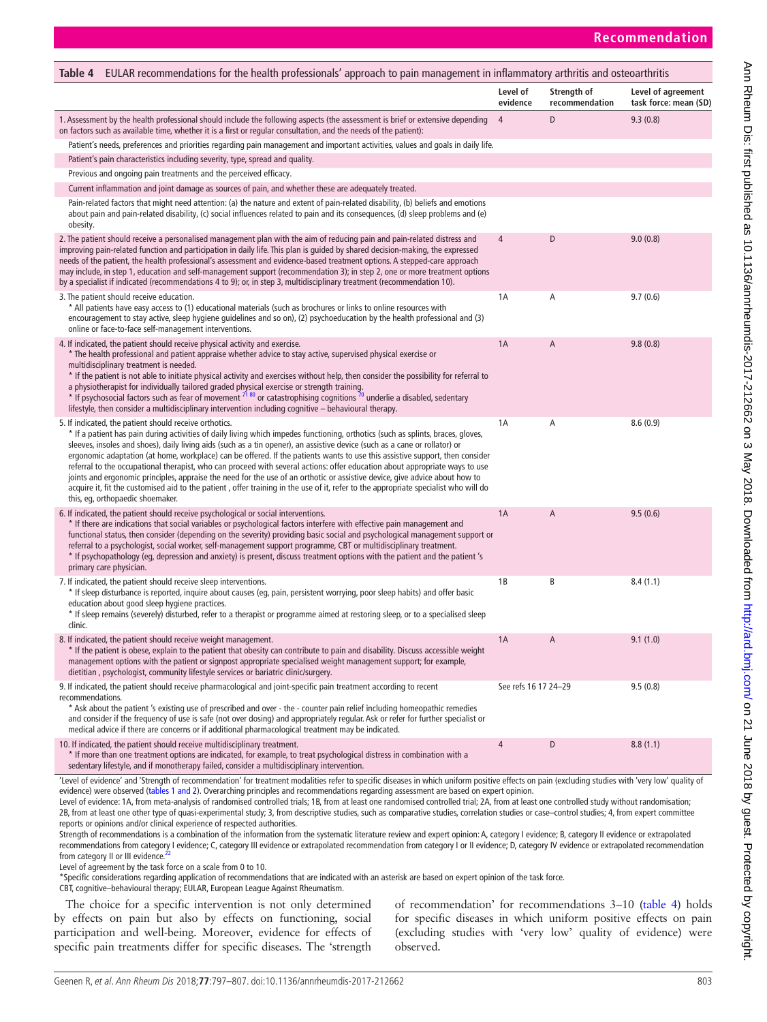<span id="page-6-0"></span>

| Table 4 EULAR recommendations for the health professionals' approach to pain management in inflammatory arthritis and osteoarthritis                                                                                                                                                                                                                                                                                                                                                                                                                                                                                                                                                                                                                                                                                                                                                              |                      |                               |                                             |
|---------------------------------------------------------------------------------------------------------------------------------------------------------------------------------------------------------------------------------------------------------------------------------------------------------------------------------------------------------------------------------------------------------------------------------------------------------------------------------------------------------------------------------------------------------------------------------------------------------------------------------------------------------------------------------------------------------------------------------------------------------------------------------------------------------------------------------------------------------------------------------------------------|----------------------|-------------------------------|---------------------------------------------|
|                                                                                                                                                                                                                                                                                                                                                                                                                                                                                                                                                                                                                                                                                                                                                                                                                                                                                                   | Level of<br>evidence | Strength of<br>recommendation | Level of agreement<br>task force: mean (SD) |
| 1. Assessment by the health professional should include the following aspects (the assessment is brief or extensive depending<br>on factors such as available time, whether it is a first or regular consultation, and the needs of the patient):                                                                                                                                                                                                                                                                                                                                                                                                                                                                                                                                                                                                                                                 | $\overline{4}$       | D                             | 9.3(0.8)                                    |
| Patient's needs, preferences and priorities regarding pain management and important activities, values and goals in daily life.                                                                                                                                                                                                                                                                                                                                                                                                                                                                                                                                                                                                                                                                                                                                                                   |                      |                               |                                             |
| Patient's pain characteristics including severity, type, spread and quality.                                                                                                                                                                                                                                                                                                                                                                                                                                                                                                                                                                                                                                                                                                                                                                                                                      |                      |                               |                                             |
| Previous and ongoing pain treatments and the perceived efficacy.                                                                                                                                                                                                                                                                                                                                                                                                                                                                                                                                                                                                                                                                                                                                                                                                                                  |                      |                               |                                             |
| Current inflammation and joint damage as sources of pain, and whether these are adequately treated.                                                                                                                                                                                                                                                                                                                                                                                                                                                                                                                                                                                                                                                                                                                                                                                               |                      |                               |                                             |
| Pain-related factors that might need attention: (a) the nature and extent of pain-related disability, (b) beliefs and emotions<br>about pain and pain-related disability, (c) social influences related to pain and its consequences, (d) sleep problems and (e)<br>obesity.                                                                                                                                                                                                                                                                                                                                                                                                                                                                                                                                                                                                                      |                      |                               |                                             |
| 2. The patient should receive a personalised management plan with the aim of reducing pain and pain-related distress and<br>improving pain-related function and participation in daily life. This plan is quided by shared decision-making, the expressed<br>needs of the patient, the health professional's assessment and evidence-based treatment options. A stepped-care approach<br>may include, in step 1, education and self-management support (recommendation 3); in step 2, one or more treatment options<br>by a specialist if indicated (recommendations 4 to 9); or, in step 3, multidisciplinary treatment (recommendation 10).                                                                                                                                                                                                                                                     | 4                    | D                             | 9.0(0.8)                                    |
| 3. The patient should receive education.<br>* All patients have easy access to (1) educational materials (such as brochures or links to online resources with<br>encouragement to stay active, sleep hygiene guidelines and so on), (2) psychoeducation by the health professional and (3)<br>online or face-to-face self-management interventions.                                                                                                                                                                                                                                                                                                                                                                                                                                                                                                                                               | 1A                   | Α                             | 9.7(0.6)                                    |
| 4. If indicated, the patient should receive physical activity and exercise.<br>* The health professional and patient appraise whether advice to stay active, supervised physical exercise or<br>multidisciplinary treatment is needed.<br>* If the patient is not able to initiate physical activity and exercises without help, then consider the possibility for referral to<br>a physiotherapist for individually tailored graded physical exercise or strength training.<br>* If psychosocial factors such as fear of movement <sup>71 80</sup> or catastrophising cognitions <sup>70</sup> underlie a disabled, sedentary<br>lifestyle, then consider a multidisciplinary intervention including cognitive - behavioural therapy.                                                                                                                                                            | 1A                   | A                             | 9.8(0.8)                                    |
| 5. If indicated, the patient should receive orthotics.<br>* If a patient has pain during activities of daily living which impedes functioning, orthotics (such as splints, braces, gloves,<br>sleeves, insoles and shoes), daily living aids (such as a tin opener), an assistive device (such as a cane or rollator) or<br>ergonomic adaptation (at home, workplace) can be offered. If the patients wants to use this assistive support, then consider<br>referral to the occupational therapist, who can proceed with several actions: offer education about appropriate ways to use<br>joints and ergonomic principles, appraise the need for the use of an orthotic or assistive device, give advice about how to<br>acquire it, fit the customised aid to the patient, offer training in the use of it, refer to the appropriate specialist who will do<br>this, eg, orthopaedic shoemaker. | 1A                   | Α                             | 8.6(0.9)                                    |
| 6. If indicated, the patient should receive psychological or social interventions.<br>* If there are indications that social variables or psychological factors interfere with effective pain management and<br>functional status, then consider (depending on the severity) providing basic social and psychological management support or<br>referral to a psychologist, social worker, self-management support programme, CBT or multidisciplinary treatment.<br>* If psychopathology (eg, depression and anxiety) is present, discuss treatment options with the patient and the patient's<br>primary care physician.                                                                                                                                                                                                                                                                         | 1A                   | A                             | 9.5(0.6)                                    |
| 7. If indicated, the patient should receive sleep interventions.<br>* If sleep disturbance is reported, inquire about causes (eg, pain, persistent worrying, poor sleep habits) and offer basic<br>education about good sleep hygiene practices.<br>* If sleep remains (severely) disturbed, refer to a therapist or programme aimed at restoring sleep, or to a specialised sleep<br>clinic.                                                                                                                                                                                                                                                                                                                                                                                                                                                                                                     | 1B                   | B                             | 8.4(1.1)                                    |
| 8. If indicated, the patient should receive weight management.<br>* If the patient is obese, explain to the patient that obesity can contribute to pain and disability. Discuss accessible weight<br>management options with the patient or signpost appropriate specialised weight management support; for example,<br>dietitian, psychologist, community lifestyle services or bariatric clinic/surgery.                                                                                                                                                                                                                                                                                                                                                                                                                                                                                        | 1A                   | A                             | 9.1(1.0)                                    |
| 9. If indicated, the patient should receive pharmacological and joint-specific pain treatment according to recent<br>recommendations.<br>* Ask about the patient 's existing use of prescribed and over - the - counter pain relief including homeopathic remedies<br>and consider if the frequency of use is safe (not over dosing) and appropriately regular. Ask or refer for further specialist or<br>medical advice if there are concerns or if additional pharmacological treatment may be indicated.                                                                                                                                                                                                                                                                                                                                                                                       | See refs 16 17 24-29 |                               | 9.5(0.8)                                    |
| 10. If indicated, the patient should receive multidisciplinary treatment.<br>* If more than one treatment options are indicated, for example, to treat psychological distress in combination with a<br>sedentary lifestyle, and if monotherapy failed, consider a multidisciplinary intervention.<br>uple original terrange for the comment of the comment of the comment of the controller of the controller of the controller diseases in which uniform positive effects on pain (evcluding studies with 'very low' quality                                                                                                                                                                                                                                                                                                                                                                     | $\overline{4}$       | D                             | 8.8(1.1)                                    |

'Level of evidence' and 'Strength of recommendation' for treatment modalities refer to specific diseases in which uniform positive effects on pain (excluding studies with 'very low' quality of evidence) were observed [\(tables 1 and 2](#page-2-1)). Overarching principles and recommendations regarding assessment are based on expert opinion.

Level of evidence: 1A, from meta-analysis of randomised controlled trials; 1B, from at least one randomised controlled trial; 2A, from at least one controlled study without randomisation; 2B, from at least one other type of quasi-experimental study; 3, from descriptive studies, such as comparative studies, correlation studies or case-control studies; 4, from expert committee reports or opinions and/or clinical experience of respected authorities.

Strength of recommendations is a combination of the information from the systematic literature review and expert opinion: A, category I evidence; B, category II evidence or extrapolated recommendations from category I evidence; C, category III evidence or extrapolated recommendation from category I or II evidence; D, category IV evidence or extrapolated recommendation<br>from category II or III evidence.<sup>[22](#page-9-7)</sup>

Level of agreement by the task force on a scale from 0 to 10.

\*Specific considerations regarding application of recommendations that are indicated with an asterisk are based on expert opinion of the task force.

CBT, cognitive–behavioural therapy; EULAR, European League Against Rheumatism.

The choice for a specific intervention is not only determined by effects on pain but also by effects on functioning, social participation and well-being. Moreover, evidence for effects of specific pain treatments differ for specific diseases. The 'strength

of recommendation' for recommendations 3–10 ([table](#page-6-0) 4) holds for specific diseases in which uniform positive effects on pain (excluding studies with 'very low' quality of evidence) were observed.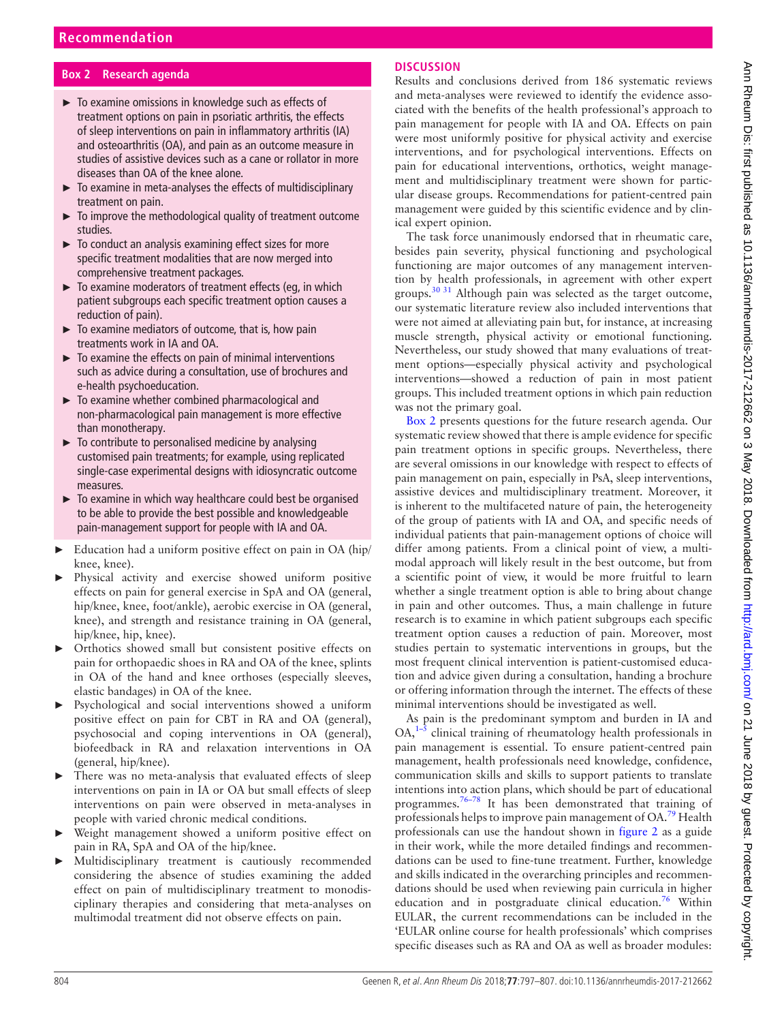# **Box 2 Research agenda**

- <span id="page-7-0"></span>► To examine omissions in knowledge such as effects of treatment options on pain in psoriatic arthritis, the effects of sleep interventions on pain in inflammatory arthritis (IA) and osteoarthritis (OA), and pain as an outcome measure in studies of assistive devices such as a cane or rollator in more diseases than OA of the knee alone.
- $\triangleright$  To examine in meta-analyses the effects of multidisciplinary treatment on pain.
- ► To improve the methodological quality of treatment outcome studies.
- ► To conduct an analysis examining effect sizes for more specific treatment modalities that are now merged into comprehensive treatment packages.
- ► To examine moderators of treatment effects (eg, in which patient subgroups each specific treatment option causes a reduction of pain).
- $\blacktriangleright$  To examine mediators of outcome, that is, how pain treatments work in IA and OA.
- $\blacktriangleright$  To examine the effects on pain of minimal interventions such as advice during a consultation, use of brochures and e-health psychoeducation.
- ► To examine whether combined pharmacological and non-pharmacological pain management is more effective than monotherapy.
- $\blacktriangleright$  To contribute to personalised medicine by analysing customised pain treatments; for example, using replicated single-case experimental designs with idiosyncratic outcome measures.
- $\triangleright$  To examine in which way healthcare could best be organised to be able to provide the best possible and knowledgeable pain-management support for people with IA and OA.
- ► Education had a uniform positive effect on pain in OA (hip/ knee, knee).
- ► Physical activity and exercise showed uniform positive effects on pain for general exercise in SpA and OA (general, hip/knee, knee, foot/ankle), aerobic exercise in OA (general, knee), and strength and resistance training in OA (general, hip/knee, hip, knee).
- ► Orthotics showed small but consistent positive effects on pain for orthopaedic shoes in RA and OA of the knee, splints in OA of the hand and knee orthoses (especially sleeves, elastic bandages) in OA of the knee.
- ► Psychological and social interventions showed a uniform positive effect on pain for CBT in RA and OA (general), psychosocial and coping interventions in OA (general), biofeedback in RA and relaxation interventions in OA (general, hip/knee).
- There was no meta-analysis that evaluated effects of sleep interventions on pain in IA or OA but small effects of sleep interventions on pain were observed in meta-analyses in people with varied chronic medical conditions.
- Weight management showed a uniform positive effect on pain in RA, SpA and OA of the hip/knee.
- Multidisciplinary treatment is cautiously recommended considering the absence of studies examining the added effect on pain of multidisciplinary treatment to monodisciplinary therapies and considering that meta-analyses on multimodal treatment did not observe effects on pain.

# **Discussion**

Results and conclusions derived from 186 systematic reviews and meta-analyses were reviewed to identify the evidence associated with the benefits of the health professional's approach to pain management for people with IA and OA. Effects on pain were most uniformly positive for physical activity and exercise interventions, and for psychological interventions. Effects on pain for educational interventions, orthotics, weight management and multidisciplinary treatment were shown for particular disease groups. Recommendations for patient-centred pain management were guided by this scientific evidence and by clinical expert opinion.

The task force unanimously endorsed that in rheumatic care, besides pain severity, physical functioning and psychological functioning are major outcomes of any management intervention by health professionals, in agreement with other expert groups.<sup>30 31</sup> Although pain was selected as the target outcome, our systematic literature review also included interventions that were not aimed at alleviating pain but, for instance, at increasing muscle strength, physical activity or emotional functioning. Nevertheless, our study showed that many evaluations of treatment options—especially physical activity and psychological interventions—showed a reduction of pain in most patient groups. This included treatment options in which pain reduction was not the primary goal.

[Box](#page-7-0) 2 presents questions for the future research agenda. Our systematic review showed that there is ample evidence for specific pain treatment options in specific groups. Nevertheless, there are several omissions in our knowledge with respect to effects of pain management on pain, especially in PsA, sleep interventions, assistive devices and multidisciplinary treatment. Moreover, it is inherent to the multifaceted nature of pain, the heterogeneity of the group of patients with IA and OA, and specific needs of individual patients that pain-management options of choice will differ among patients. From a clinical point of view, a multimodal approach will likely result in the best outcome, but from a scientific point of view, it would be more fruitful to learn whether a single treatment option is able to bring about change in pain and other outcomes. Thus, a main challenge in future research is to examine in which patient subgroups each specific treatment option causes a reduction of pain. Moreover, most studies pertain to systematic interventions in groups, but the most frequent clinical intervention is patient-customised education and advice given during a consultation, handing a brochure or offering information through the internet. The effects of these minimal interventions should be investigated as well.

As pain is the predominant symptom and burden in IA and  $OA<sub>1</sub><sup>1-5</sup>$  clinical training of rheumatology health professionals in pain management is essential. To ensure patient-centred pain management, health professionals need knowledge, confidence, communication skills and skills to support patients to translate intentions into action plans, which should be part of educational programmes.[76–78](#page-10-7) It has been demonstrated that training of professionals helps to improve pain management of OA.<sup>79</sup> Health professionals can use the handout shown in [figure](#page-8-2) 2 as a guide in their work, while the more detailed findings and recommendations can be used to fine-tune treatment. Further, knowledge and skills indicated in the overarching principles and recommendations should be used when reviewing pain curricula in higher education and in postgraduate clinical education.<sup>76</sup> Within EULAR, the current recommendations can be included in the 'EULAR online course for health professionals' which comprises specific diseases such as RA and OA as well as broader modules: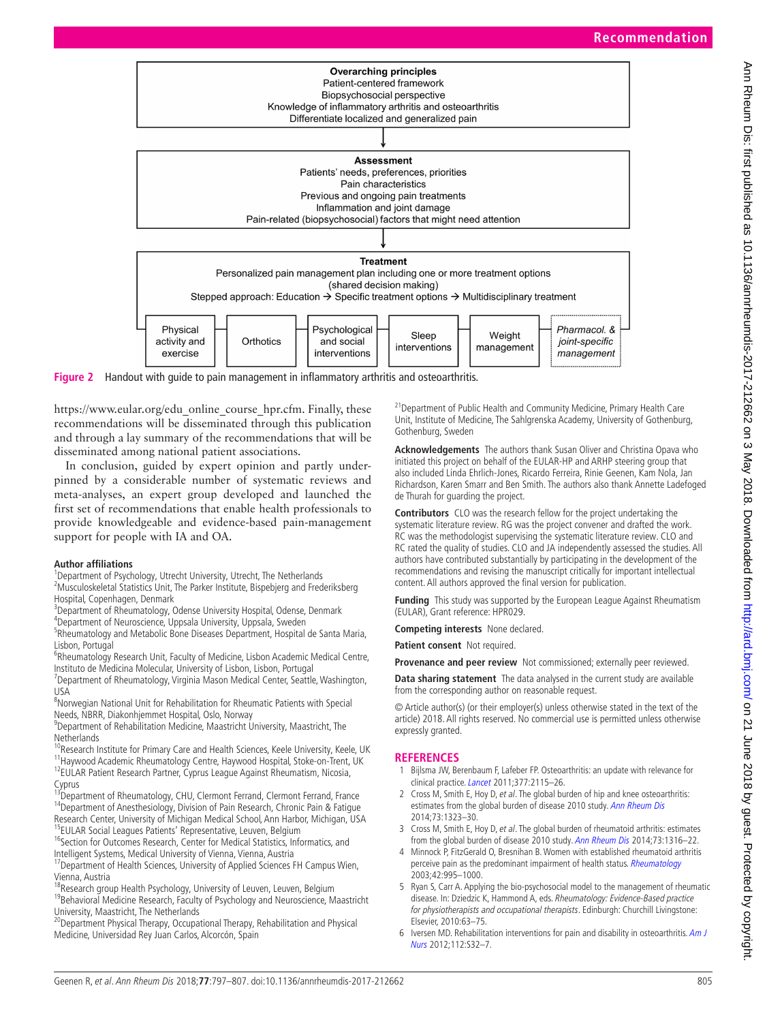

<span id="page-8-2"></span>Figure 2 Handout with guide to pain management in inflammatory arthritis and osteoarthritis.

[https://www.eular.org/edu\\_online\\_course\\_hpr.cfm.](https://www.eular.org/edu_online_course_hpr.cfm.) Finally, these recommendations will be disseminated through this publication and through a lay summary of the recommendations that will be disseminated among national patient associations.

In conclusion, guided by expert opinion and partly underpinned by a considerable number of systematic reviews and meta-analyses, an expert group developed and launched the first set of recommendations that enable health professionals to provide knowledgeable and evidence-based pain-management support for people with IA and OA.

#### **Author affiliations**

<sup>1</sup>Department of Psychology, Utrecht University, Utrecht, The Netherlands

<sup>2</sup>Musculoskeletal Statistics Unit, The Parker Institute, Bispebjerg and Frederiksberg Hospital, Copenhagen, Denmark

<sup>3</sup>Department of Rheumatology, Odense University Hospital, Odense, Denmark

4 Department of Neuroscience, Uppsala University, Uppsala, Sweden

<sup>5</sup>Rheumatology and Metabolic Bone Diseases Department, Hospital de Santa Maria, Lisbon, Portugal

<sup>6</sup>Rheumatology Research Unit, Faculty of Medicine, Lisbon Academic Medical Centre, Instituto de Medicina Molecular, University of Lisbon, Lisbon, Portugal

<sup>7</sup>Department of Rheumatology, Virginia Mason Medical Center, Seattle, Washington, USA

<sup>8</sup>Norwegian National Unit for Rehabilitation for Rheumatic Patients with Special Needs, NBRR, Diakonhjemmet Hospital, Oslo, Norway

9 Department of Rehabilitation Medicine, Maastricht University, Maastricht, The **Netherlands** 

<sup>10</sup>Research Institute for Primary Care and Health Sciences, Keele University, Keele, UK 11Haywood Academic Rheumatology Centre, Haywood Hospital, Stoke-on-Trent, UK <sup>12</sup>EULAR Patient Research Partner, Cyprus League Against Rheumatism, Nicosia, Cyprus

<sup>13</sup>Department of Rheumatology, CHU, Clermont Ferrand, Clermont Ferrand, France <sup>14</sup>Department of Anesthesiology, Division of Pain Research, Chronic Pain & Fatigue Research Center, University of Michigan Medical School, Ann Harbor, Michigan, USA <sup>15</sup>EULAR Social Leagues Patients' Representative, Leuven, Belgium

<sup>16</sup>Section for Outcomes Research, Center for Medical Statistics, Informatics, and Intelligent Systems, Medical University of Vienna, Vienna, Austria

<sup>17</sup>Department of Health Sciences, University of Applied Sciences FH Campus Wien, Vienna, Austria

<sup>18</sup>Research group Health Psychology, University of Leuven, Leuven, Belgium <sup>19</sup>Behavioral Medicine Research, Faculty of Psychology and Neuroscience, Maastricht University, Maastricht, The Netherlands

<sup>20</sup>Department Physical Therapy, Occupational Therapy, Rehabilitation and Physical Medicine, Universidad Rey Juan Carlos, Alcorcón, Spain

<sup>21</sup> Department of Public Health and Community Medicine, Primary Health Care Unit, Institute of Medicine, The Sahlgrenska Academy, University of Gothenburg, Gothenburg, Sweden

**Acknowledgements** The authors thank Susan Oliver and Christina Opava who initiated this project on behalf of the EULAR-HP and ARHP steering group that also included Linda Ehrlich-Jones, Ricardo Ferreira, Rinie Geenen, Kam Nola, Jan Richardson, Karen Smarr and Ben Smith. The authors also thank Annette Ladefoged de Thurah for guarding the project.

**Contributors** CLO was the research fellow for the project undertaking the systematic literature review. RG was the project convener and drafted the work. RC was the methodologist supervising the systematic literature review. CLO and RC rated the quality of studies. CLO and JA independently assessed the studies. All authors have contributed substantially by participating in the development of the recommendations and revising the manuscript critically for important intellectual content. All authors approved the final version for publication.

**Funding** This study was supported by the European League Against Rheumatism (EULAR), Grant reference: HPR029.

**Competing interests** None declared.

**Patient consent** Not required.

**Provenance and peer review** Not commissioned; externally peer reviewed.

**Data sharing statement** The data analysed in the current study are available from the corresponding author on reasonable request.

© Article author(s) (or their employer(s) unless otherwise stated in the text of the article) 2018. All rights reserved. No commercial use is permitted unless otherwise expressly granted.

## **References**

- <span id="page-8-0"></span>1 Bijlsma JW, Berenbaum F, Lafeber FP. Osteoarthritis: an update with relevance for clinical practice. [Lancet](http://dx.doi.org/10.1016/S0140-6736(11)60243-2) 2011;377:2115-26.
- 2 Cross M, Smith E, Hoy D, et al. The global burden of hip and knee osteoarthritis: estimates from the global burden of disease 2010 study. [Ann Rheum Dis](http://dx.doi.org/10.1136/annrheumdis-2013-204763) 2014;73:1323–30.
- 3 Cross M, Smith E, Hoy D, et al. The global burden of rheumatoid arthritis: estimates from the global burden of disease 2010 study. [Ann Rheum Dis](http://dx.doi.org/10.1136/annrheumdis-2013-204627) 2014;73:1316–22.
- 4 Minnock P, FitzGerald O, Bresnihan B. Women with established rheumatoid arthritis perceive pain as the predominant impairment of health status. [Rheumatology](http://dx.doi.org/10.1093/rheumatology/keg281) 2003;42:995–1000.
- 5 Ryan S, Carr A. Applying the bio-psychosocial model to the management of rheumatic disease. In: Dziedzic K, Hammond A, eds. Rheumatology: Evidence-Based practice for physiotherapists and occupational therapists. Edinburgh: Churchill Livingstone: Elsevier, 2010:63–75.
- <span id="page-8-1"></span>6 Iversen MD. Rehabilitation interventions for pain and disability in osteoarthritis. Am J [Nurs](http://dx.doi.org/10.1097/01.NAJ.0000412649.02926.35) 2012;112:S32–7.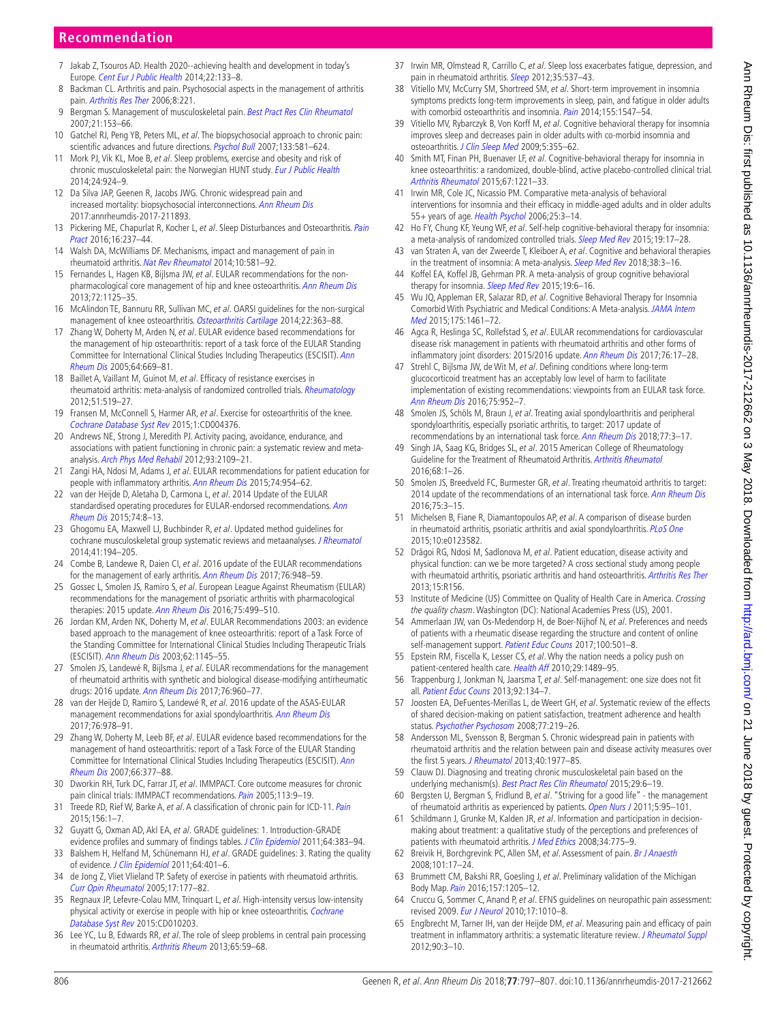# **Recommendation**

- <span id="page-9-0"></span>7 Jakab Z, Tsouros AD. Health 2020--achieving health and development in today's Europe. [Cent Eur J Public Health](http://dx.doi.org/10.21101/cejph.a4045) 2014;22:133–8.
- <span id="page-9-1"></span>8 Backman CL. Arthritis and pain. Psychosocial aspects in the management of arthritis pain. [Arthritis Res Ther](http://dx.doi.org/10.1186/ar2083) 2006;8:221.
- <span id="page-9-2"></span>9 Bergman S. Management of musculoskeletal pain. [Best Pract Res Clin Rheumatol](http://dx.doi.org/10.1016/j.berh.2006.10.001) 2007;21:153–66.
- 10 Gatchel RJ, Peng YB, Peters ML, et al. The biopsychosocial approach to chronic pain: scientific advances and future directions. [Psychol Bull](http://dx.doi.org/10.1037/0033-2909.133.4.581) 2007;133:581-624.
- 11 Mork PJ, Vik KL, Moe B, et al. Sleep problems, exercise and obesity and risk of chronic musculoskeletal pain: the Norwegian HUNT study. [Eur J Public Health](http://dx.doi.org/10.1093/eurpub/ckt198) 2014;24:924–9.
- 12 Da Silva JAP, Geenen R, Jacobs JWG. Chronic widespread pain and increased mortality: biopsychosocial interconnections. [Ann Rheum Dis](http://dx.doi.org/10.1136/annrheumdis-2017-211893) 2017:annrheumdis-2017-211893.
- <span id="page-9-14"></span>13 Pickering ME, Chapurlat R, Kocher L, et al. Sleep Disturbances and Osteoarthritis. Pain [Pract](http://dx.doi.org/10.1111/papr.12271) 2016;16:237–44.
- 14 Walsh DA, McWilliams DF. Mechanisms, impact and management of pain in rheumatoid arthritis. [Nat Rev Rheumatol](http://dx.doi.org/10.1038/nrrheum.2014.64) 2014;10:581–92.
- <span id="page-9-6"></span>15 Fernandes L, Hagen KB, Bijlsma JW, et al. EULAR recommendations for the non-pharmacological core management of hip and knee osteoarthritis. [Ann Rheum Dis](http://dx.doi.org/10.1136/annrheumdis-2012-202745) 2013;72:1125–35.
- <span id="page-9-3"></span>16 McAlindon TE, Bannuru RR, Sullivan MC, et al. OARSI guidelines for the non-surgical management of knee osteoarthritis. [Osteoarthritis Cartilage](http://dx.doi.org/10.1016/j.joca.2014.01.003) 2014;22:363-88.
- <span id="page-9-20"></span>17 Zhang W, Doherty M, Arden N, et al. EULAR evidence based recommendations for the management of hip osteoarthritis: report of a task force of the EULAR Standing Committee for International Clinical Studies Including Therapeutics (ESCISIT). [Ann](http://dx.doi.org/10.1136/ard.2004.028886)  [Rheum Dis](http://dx.doi.org/10.1136/ard.2004.028886) 2005;64:669–81.
- <span id="page-9-4"></span>18 Baillet A, Vaillant M, Guinot M, et al. Efficacy of resistance exercises in rheumatoid arthritis: meta-analysis of randomized controlled trials. [Rheumatology](http://dx.doi.org/10.1093/rheumatology/ker330) 2012;51:519–27.
- 19 Fransen M, McConnell S, Harmer AR, et al. Exercise for osteoarthritis of the knee. [Cochrane Database Syst Rev](http://dx.doi.org/10.1002/14651858.CD004376.pub3) 2015;1:CD004376.
- <span id="page-9-5"></span>20 Andrews NE, Strong J, Meredith PJ. Activity pacing, avoidance, endurance, and associations with patient functioning in chronic pain: a systematic review and metaanalysis. [Arch Phys Med Rehabil](http://dx.doi.org/10.1016/j.apmr.2012.05.029) 2012;93:2109–21.
- <span id="page-9-10"></span>21 Zangi HA, Ndosi M, Adams J, et al. EULAR recommendations for patient education for people with inflammatory arthritis. [Ann Rheum Dis](http://dx.doi.org/10.1136/annrheumdis-2014-206807) 2015;74:954-62
- <span id="page-9-7"></span>22 van der Heijde D, Aletaha D, Carmona L, et al. 2014 Update of the EULAR standardised operating procedures for EULAR-endorsed recommendations. Ann [Rheum Dis](http://dx.doi.org/10.1136/annrheumdis-2014-206350) 2015;74:8–13.
- <span id="page-9-8"></span>23 Ghogomu EA, Maxwell LJ, Buchbinder R, et al. Updated method guidelines for cochrane musculoskeletal group systematic reviews and metaanalyses. [J Rheumatol](http://dx.doi.org/10.3899/jrheum.121306) 2014;41:194–205.
- 24 Combe B, Landewe R, Daien CI, et al. 2016 update of the EULAR recommendations for the management of early arthritis. [Ann Rheum Dis](http://dx.doi.org/10.1136/annrheumdis-2016-210602) 2017;76:948–59.
- <span id="page-9-27"></span>25 Gossec L, Smolen JS, Ramiro S, et al. European League Against Rheumatism (EULAR) recommendations for the management of psoriatic arthritis with pharmacological therapies: 2015 update. [Ann Rheum Dis](http://dx.doi.org/10.1136/annrheumdis-2015-208337) 2016;75:499-510.
- 26 Jordan KM, Arden NK, Doherty M, et al. EULAR Recommendations 2003: an evidence based approach to the management of knee osteoarthritis: report of a Task Force of the Standing Committee for International Clinical Studies Including Therapeutic Trials (ESCISIT). [Ann Rheum Dis](http://dx.doi.org/10.1136/ard.2003.011742) 2003;62:1145–55.
- 27 Smolen JS, Landewé R, Bijlsma J, et al. EULAR recommendations for the management of rheumatoid arthritis with synthetic and biological disease-modifying antirheumatic drugs: 2016 update. [Ann Rheum Dis](http://dx.doi.org/10.1136/annrheumdis-2016-210715) 2017;76:960–77.
- 28 van der Heijde D, Ramiro S, Landewé R, et al. 2016 update of the ASAS-EULAR management recommendations for axial spondyloarthritis. [Ann Rheum Dis](http://dx.doi.org/10.1136/annrheumdis-2016-210770) 2017;76:978–91.
- 29 Zhang W, Doherty M, Leeb BF, et al. EULAR evidence based recommendations for the management of hand osteoarthritis: report of a Task Force of the EULAR Standing Committee for International Clinical Studies Including Therapeutics (ESCISIT). [Ann](http://dx.doi.org/10.1136/ard.2006.062091)  [Rheum Dis](http://dx.doi.org/10.1136/ard.2006.062091) 2007;66:377–88.
- <span id="page-9-9"></span>30 Dworkin RH, Turk DC, Farrar JT, et al. IMMPACT. Core outcome measures for chronic pain clinical trials: IMMPACT recommendations. [Pain](http://dx.doi.org/10.1016/j.pain.2004.09.012) 2005;113:9-19.
- 31 Treede RD, Rief W, Barke A, et al. A classification of chronic pain for ICD-11. [Pain](http://dx.doi.org/10.1097/j.pain.0000000000000160) 2015;156:1–7.
- <span id="page-9-11"></span>32 Guyatt G, Oxman AD, Akl EA, et al. GRADE guidelines: 1. Introduction-GRADE evidence profiles and summary of findings tables. [J Clin Epidemiol](http://dx.doi.org/10.1016/j.jclinepi.2010.04.026) 2011;64:383-94.
- <span id="page-9-12"></span>33 Balshem H, Helfand M, Schünemann HJ, et al. GRADE guidelines: 3. Rating the quality of evidence. [J Clin Epidemiol](http://dx.doi.org/10.1016/j.jclinepi.2010.07.015) 2011;64:401-6.
- <span id="page-9-13"></span>34 de Jong Z, Vliet Vlieland TP. Safety of exercise in patients with rheumatoid arthritis. [Curr Opin Rheumatol](http://dx.doi.org/10.1097/01.bor.0000151400.33899.88) 2005;17:177–82.
- 35 Regnaux JP, Lefevre-Colau MM, Trinquart L, et al. High-intensity versus low-intensity physical activity or exercise in people with hip or knee osteoarthritis. Cochrane [Database Syst Rev](http://dx.doi.org/10.1002/14651858.CD010203.pub2) 2015:CD010203.
- 36 Lee YC, Lu B, Edwards RR, et al. The role of sleep problems in central pain processing in rheumatoid arthritis. [Arthritis Rheum](http://dx.doi.org/10.1002/art.37733) 2013;65:59-68.
- 37 Irwin MR, Olmstead R, Carrillo C, et al. Sleep loss exacerbates fatigue, depression, and pain in rheumatoid arthritis. [Sleep](http://dx.doi.org/10.5665/sleep.1742) 2012;35:537-43.
- 38 Vitiello MV, McCurry SM, Shortreed SM, et al. Short-term improvement in insomnia symptoms predicts long-term improvements in sleep, pain, and fatigue in older adults with comorbid osteoarthritis and insomnia. [Pain](http://dx.doi.org/10.1016/j.pain.2014.04.032) 2014;155:1547-54.
- <span id="page-9-15"></span>39 Vitiello MV, Rybarczyk B, Von Korff M, et al. Cognitive behavioral therapy for insomnia improves sleep and decreases pain in older adults with co-morbid insomnia and osteoarthritis. [J Clin Sleep Med](http://www.ncbi.nlm.nih.gov/pubmed/19968014) 2009;5:355–62.
- <span id="page-9-16"></span>40 Smith MT, Finan PH, Buenaver LF, et al. Cognitive-behavioral therapy for insomnia in knee osteoarthritis: a randomized, double-blind, active placebo-controlled clinical trial. [Arthritis Rheumatol](http://dx.doi.org/10.1002/art.39048) 2015;67:1221–33.
- <span id="page-9-17"></span>41 Irwin MR, Cole JC, Nicassio PM. Comparative meta-analysis of behavioral interventions for insomnia and their efficacy in middle-aged adults and in older adults 55+ years of age. [Health Psychol](http://dx.doi.org/10.1037/0278-6133.25.1.3) 2006;25:3–14.
- 42 Ho FY, Chung KF, Yeung WF, et al. Self-help cognitive-behavioral therapy for insomnia: a meta-analysis of randomized controlled trials. [Sleep Med Rev](http://dx.doi.org/10.1016/j.smrv.2014.06.010) 2015;19:17-28.
- <span id="page-9-18"></span>43 van Straten A, van der Zweerde T, Kleiboer A, et al. Cognitive and behavioral therapies in the treatment of insomnia: A meta-analysis. [Sleep Med Rev](http://dx.doi.org/10.1016/j.smrv.2017.02.001) 2018;38:3-16.
- <span id="page-9-19"></span>44 Koffel EA, Koffel JB, Gehrman PR. A meta-analysis of group cognitive behavioral therapy for insomnia. [Sleep Med Rev](http://dx.doi.org/10.1016/j.smrv.2014.05.001) 2015;19:6-16.
- 45 Wu JQ, Appleman ER, Salazar RD, et al. Cognitive Behavioral Therapy for Insomnia Comorbid With Psychiatric and Medical Conditions: A Meta-analysis. [JAMA Intern](http://dx.doi.org/10.1001/jamainternmed.2015.3006)  [Med](http://dx.doi.org/10.1001/jamainternmed.2015.3006) 2015;175:1461–72.
- 46 Agca R, Heslinga SC, Rollefstad S, et al. EULAR recommendations for cardiovascular disease risk management in patients with rheumatoid arthritis and other forms of inflammatory joint disorders: 2015/2016 update. [Ann Rheum Dis](http://dx.doi.org/10.1136/annrheumdis-2016-209775) 2017;76:17-28.
- 47 Strehl C, Bijlsma JW, de Wit M, et al. Defining conditions where long-term glucocorticoid treatment has an acceptably low level of harm to facilitate implementation of existing recommendations: viewpoints from an EULAR task force. [Ann Rheum Dis](http://dx.doi.org/10.1136/annrheumdis-2015-208916) 2016;75:952–7.
- 48 Smolen JS, Schöls M, Braun J, et al. Treating axial spondyloarthritis and peripheral spondyloarthritis, especially psoriatic arthritis, to target: 2017 update of recommendations by an international task force. [Ann Rheum Dis](http://dx.doi.org/10.1136/annrheumdis-2017-211734) 2018;77:3–17.
- 49 Singh JA, Saag KG, Bridges SL, et al. 2015 American College of Rheumatology Guideline for the Treatment of Rheumatoid Arthritis. [Arthritis Rheumatol](http://dx.doi.org/10.1002/art.39480) 2016;68:1–26.
- 50 Smolen JS, Breedveld FC, Burmester GR, et al. Treating rheumatoid arthritis to target: 2014 update of the recommendations of an international task force. [Ann Rheum Dis](http://dx.doi.org/10.1136/annrheumdis-2015-207524) 2016;75:3–15.
- <span id="page-9-21"></span>51 Michelsen B, Fiane R, Diamantopoulos AP, et al. A comparison of disease burden in rheumatoid arthritis, psoriatic arthritis and axial spondyloarthritis. [PLoS One](http://dx.doi.org/10.1371/journal.pone.0123582) 2015;10:e0123582.
- <span id="page-9-22"></span>52 Drăgoi RG, Ndosi M, Sadlonova M, et al. Patient education, disease activity and physical function: can we be more targeted? A cross sectional study among people with rheumatoid arthritis, psoriatic arthritis and hand osteoarthritis. [Arthritis Res Ther](http://dx.doi.org/10.1186/ar4339) 2013;15:R156.
- <span id="page-9-23"></span>53 Institute of Medicine (US) Committee on Quality of Health Care in America. Crossing the quality chasm. Washington (DC): National Academies Press (US), 2001.
- 54 Ammerlaan JW, van Os-Medendorp H, de Boer-Nijhof N, et al. Preferences and needs of patients with a rheumatic disease regarding the structure and content of online self-management support. [Patient Educ Couns](http://dx.doi.org/10.1016/j.pec.2016.10.009) 2017;100:501-8.
- 55 Epstein RM, Fiscella K, Lesser CS, et al. Why the nation needs a policy push on patient-centered health care. [Health Aff](http://dx.doi.org/10.1377/hlthaff.2009.0888) 2010;29:1489–95.
- 56 Trappenburg J, Jonkman N, Jaarsma T, et al. Self-management: one size does not fit all. [Patient Educ Couns](http://dx.doi.org/10.1016/j.pec.2013.02.009) 2013;92:134–7.
- 57 Joosten EA, DeFuentes-Merillas L, de Weert GH, et al. Systematic review of the effects of shared decision-making on patient satisfaction, treatment adherence and health status. [Psychother Psychosom](http://dx.doi.org/10.1159/000126073) 2008;77:219–26.
- <span id="page-9-24"></span>58 Andersson ML, Svensson B, Bergman S. Chronic widespread pain in patients with rheumatoid arthritis and the relation between pain and disease activity measures over the first 5 years. [J Rheumatol](http://dx.doi.org/10.3899/jrheum.130493) 2013;40:1977–85.
- 59 Clauw DJ. Diagnosing and treating chronic musculoskeletal pain based on the underlying mechanism(s). [Best Pract Res Clin Rheumatol](http://dx.doi.org/10.1016/j.berh.2015.04.024) 2015;29:6-19.
- 60 Bergsten U, Bergman S, Fridlund B, et al. "Striving for a good life" the management of rheumatoid arthritis as experienced by patients. [Open Nurs J](http://dx.doi.org/10.2174/1874434601105010095) 2011;5:95-101.
- 61 Schildmann J, Grunke M, Kalden JR, et al. Information and participation in decisionmaking about treatment: a qualitative study of the perceptions and preferences of patients with rheumatoid arthritis. [J Med Ethics](http://dx.doi.org/10.1136/jme.2007.023705) 2008;34:775-9.
- <span id="page-9-25"></span>62 Breivik H, Borchgrevink PC, Allen SM, et al. Assessment of pain. [Br J Anaesth](http://dx.doi.org/10.1093/bja/aen103) 2008;101:17–24.
- <span id="page-9-26"></span>63 Brummett CM, Bakshi RR, Goesling J, et al. Preliminary validation of the Michigan Body Map. [Pain](http://dx.doi.org/10.1097/j.pain.0000000000000506) 2016;157:1205-12.
- 64 Cruccu G, Sommer C, Anand P, et al. EFNS guidelines on neuropathic pain assessment: revised 2009. [Eur J Neurol](http://dx.doi.org/10.1111/j.1468-1331.2010.02969.x) 2010;17:1010–8.
- 65 Englbrecht M, Tarner IH, van der Heijde DM, et al. Measuring pain and efficacy of pain treatment in inflammatory arthritis: a systematic literature review. [J Rheumatol Suppl](http://dx.doi.org/10.3899/jrheum.120335) 2012;90:3–10.